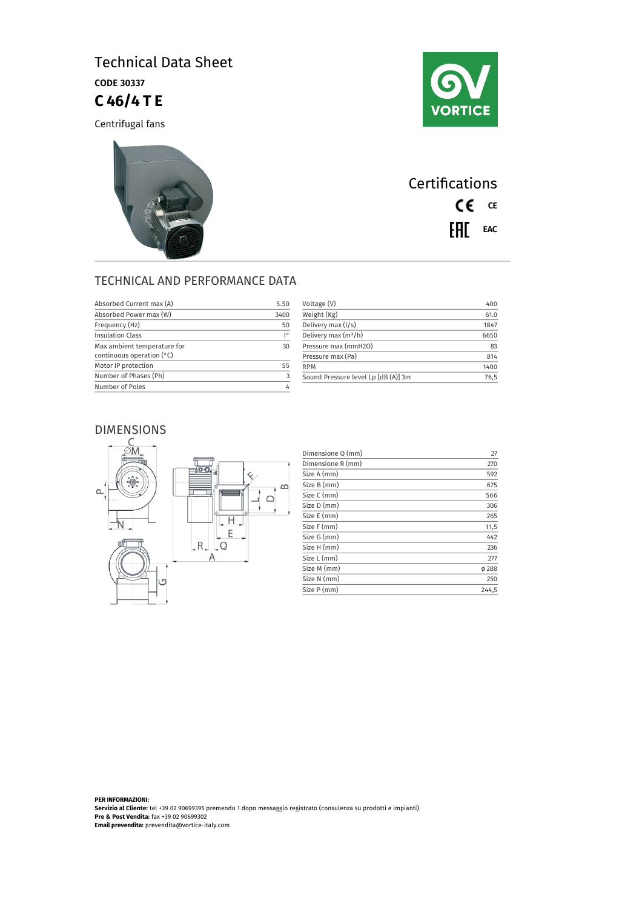# Technical Data Sheet CODE 30337 **C 46/4 T E**

Centrifugal fans





**Certifications** CE CE EAL EAC

## TECHNICAL AND PERFORMANCE DATA

| Absorbed Current max (A)                                   | 5.50 |
|------------------------------------------------------------|------|
| Absorbed Power max (W)                                     | 3400 |
| Frequency (Hz)                                             | 50   |
| <b>Insulation Class</b>                                    | I۰   |
| Max ambient temperature for<br>continuous operation $(°C)$ | 30   |
| Motor IP protection                                        | 55   |
| Number of Phases (Ph)                                      | 3    |
| Number of Poles                                            |      |
|                                                            |      |

| 400  |
|------|
| 61.0 |
| 1847 |
| 6650 |
| 83   |
| 814  |
| 1400 |
| 76.5 |
|      |

### DIMENSIONS



| Dimensione Q (mm) | 27    |
|-------------------|-------|
| Dimensione R (mm) | 270   |
| Size A (mm)       | 592   |
| Size B (mm)       | 675   |
| Size C (mm)       | 566   |
| Size D (mm)       | 306   |
| Size E (mm)       | 265   |
| Size F (mm)       | 11,5  |
| Size G (mm)       | 442   |
| Size H (mm)       | 236   |
| Size L (mm)       | 277   |
| Size M (mm)       | Ø 288 |
| Size N (mm)       | 250   |
| Size P (mm)       | 244.5 |

**PER INFORMAZIONI: Servizio al Cliente:** tel +39 02 90699395 premendo 1 dopo messaggio registrato (consulenza su prodotti e impianti) **Pre & Post Vendita:** fax +39 02 90699302 **Email prevendita:** prevendita@vortice-italy.com